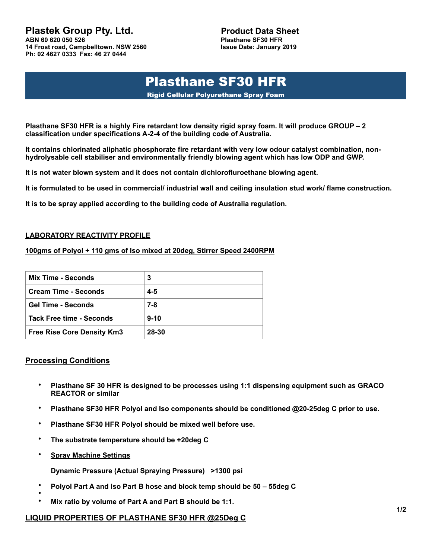**14 Frost road, Campbelltown. NSW 2560 Ph: 02 4627 0333 Fax: 46 27 0444** 

# Plasthane SF30 HFR

Rigid Cellular Polyurethane Spray Foam

**Plasthane SF30 HFR is a highly Fire retardant low density rigid spray foam. It will produce GROUP – 2 classification under specifications A-2-4 of the building code of Australia.** 

**It contains chlorinated aliphatic phosphorate fire retardant with very low odour catalyst combination, nonhydrolysable cell stabiliser and environmentally friendly blowing agent which has low ODP and GWP.** 

**It is not water blown system and it does not contain dichlorofluroethane blowing agent.** 

**It is formulated to be used in commercial/ industrial wall and ceiling insulation stud work/ flame construction.** 

**It is to be spray applied according to the building code of Australia regulation.** 

### **LABORATORY REACTIVITY PROFILE**

#### **100gms of Polyol + 110 gms of Iso mixed at 20deg, Stirrer Speed 2400RPM**

| Mix Time - Seconds                | 3        |
|-----------------------------------|----------|
| <b>Cream Time - Seconds</b>       | $4 - 5$  |
| <b>Gel Time - Seconds</b>         | 7-8      |
| Tack Free time - Seconds          | $9 - 10$ |
| <b>Free Rise Core Density Km3</b> | 28-30    |

### **Processing Conditions**

- **Plasthane SF 30 HFR is designed to be processes using 1:1 dispensing equipment such as GRACO REACTOR or similar**
- **Plasthane SF30 HFR Polyol and Iso components should be conditioned @20-25deg C prior to use.**
- **Plasthane SF30 HFR Polyol should be mixed well before use.**
- **The substrate temperature should be +20deg C**
- **Spray Machine Settings**

**Dynamic Pressure (Actual Spraying Pressure) >1300 psi** 

- **Polyol Part A and Iso Part B hose and block temp should be 50 55deg C**
- • **Mix ratio by volume of Part A and Part B should be 1:1.**

### **LIQUID PROPERTIES OF PLASTHANE SF30 HFR @25Deg C**